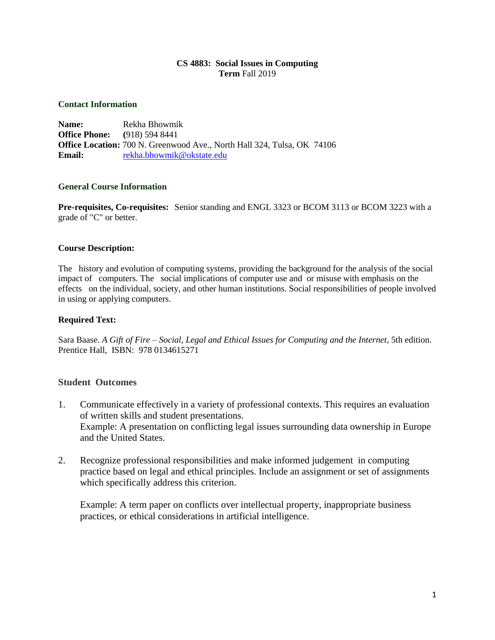#### **CS 4883: Social Issues in Computing Term** Fall 2019

#### **Contact Information**

**Name:** Rekha Bhowmik **Office Phone: (**918) 594 8441 **Office Location:** 700 N. Greenwood Ave., North Hall 324, Tulsa, OK 74106 **Email:** [rekha.bhowmik@okstate.edu](mailto:rekha.bhowmik@okstate.edu)

#### **General Course Information**

**Pre-requisites, Co-requisites:** Senior standing and ENGL 3323 or BCOM 3113 or BCOM 3223 with a grade of "C" or better.

#### **Course Description:**

The history and evolution of computing systems, providing the background for the analysis of the social impact of computers. The social implications of computer use and or misuse with emphasis on the effects on the individual, society, and other human institutions. Social responsibilities of people involved in using or applying computers.

#### **Required Text:**

Sara Baase. *A Gift of Fire – Social, Legal and Ethical Issues for Computing and the Internet*, 5th edition. Prentice Hall, ISBN: 978 0134615271

## **Student Outcomes**

- 1. Communicate effectively in a variety of professional contexts. This requires an evaluation of written skills and student presentations. Example: A presentation on conflicting legal issues surrounding data ownership in Europe and the United States.
- 2. Recognize professional responsibilities and make informed judgement in computing practice based on legal and ethical principles. Include an assignment or set of assignments which specifically address this criterion.

Example: A term paper on conflicts over intellectual property, inappropriate business practices, or ethical considerations in artificial intelligence.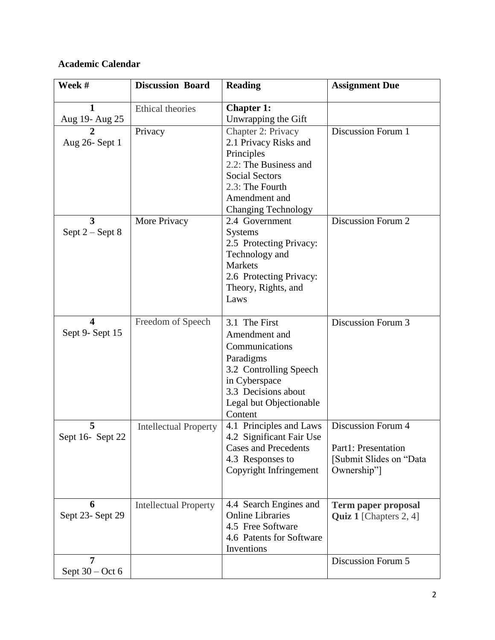# **Academic Calendar**

| Week #                   | <b>Discussion Board</b>      | <b>Reading</b>                                                                                                                                                                | <b>Assignment Due</b>                                                                      |
|--------------------------|------------------------------|-------------------------------------------------------------------------------------------------------------------------------------------------------------------------------|--------------------------------------------------------------------------------------------|
| 1<br>Aug 19- Aug 25      | Ethical theories             | <b>Chapter 1:</b><br>Unwrapping the Gift                                                                                                                                      |                                                                                            |
| Aug 26- Sept 1           | Privacy                      | Chapter 2: Privacy<br>2.1 Privacy Risks and<br>Principles<br>2.2: The Business and<br><b>Social Sectors</b><br>2.3: The Fourth<br>Amendment and<br><b>Changing Technology</b> | Discussion Forum 1                                                                         |
| 3<br>Sept $2 -$ Sept $8$ | More Privacy                 | 2.4 Government<br><b>Systems</b><br>2.5 Protecting Privacy:<br>Technology and<br><b>Markets</b><br>2.6 Protecting Privacy:<br>Theory, Rights, and<br>Laws                     | Discussion Forum 2                                                                         |
| 4<br>Sept 9- Sept 15     | Freedom of Speech            | 3.1 The First<br>Amendment and<br>Communications<br>Paradigms<br>3.2 Controlling Speech<br>in Cyberspace<br>3.3 Decisions about<br>Legal but Objectionable<br>Content         | Discussion Forum 3                                                                         |
| 5<br>Sept 16- Sept 22    | <b>Intellectual Property</b> | 4.1 Principles and Laws<br>4.2 Significant Fair Use<br><b>Cases and Precedents</b><br>4.3 Responses to<br>Copyright Infringement                                              | <b>Discussion Forum 4</b><br>Part1: Presentation<br>[Submit Slides on "Data<br>Ownership"] |
| 6<br>Sept 23- Sept 29    | <b>Intellectual Property</b> | 4.4 Search Engines and<br><b>Online Libraries</b><br>4.5 Free Software<br>4.6 Patents for Software<br>Inventions                                                              | <b>Term paper proposal</b><br><b>Quiz 1</b> [Chapters 2, 4]                                |
| 7<br>Sept $30 - Oct 6$   |                              |                                                                                                                                                                               | Discussion Forum 5                                                                         |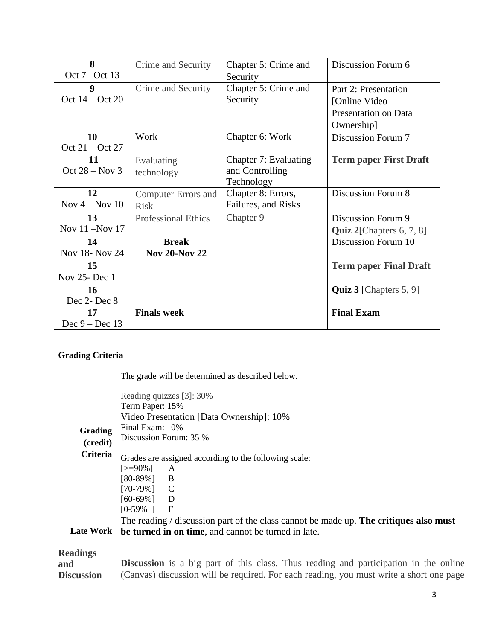| 8                  | Crime and Security         | Chapter 5: Crime and  | Discussion Forum 6               |
|--------------------|----------------------------|-----------------------|----------------------------------|
| Oct 7 – Oct 13     |                            | Security              |                                  |
| 9                  | Crime and Security         | Chapter 5: Crime and  | Part 2: Presentation             |
| Oct $14 - Oct$ 20  |                            | Security              | [Online Video]                   |
|                    |                            |                       | <b>Presentation on Data</b>      |
|                    |                            |                       | Ownership]                       |
| 10                 | Work                       | Chapter 6: Work       | Discussion Forum 7               |
| Oct $21 - Oct$ 27  |                            |                       |                                  |
| 11                 | Evaluating                 | Chapter 7: Evaluating | <b>Term paper First Draft</b>    |
| Oct $28 - Nov 3$   | technology                 | and Controlling       |                                  |
|                    |                            | Technology            |                                  |
| 12                 | <b>Computer Errors and</b> | Chapter 8: Errors,    | <b>Discussion Forum 8</b>        |
| Nov $4 -$ Nov $10$ | <b>Risk</b>                | Failures, and Risks   |                                  |
| 13                 | <b>Professional Ethics</b> | Chapter 9             | Discussion Forum 9               |
| Nov 11 -Nov 17     |                            |                       | Quiz 2[Chapters 6, 7, 8]         |
| 14                 | <b>Break</b>               |                       | Discussion Forum 10              |
| Nov 18- Nov 24     | <b>Nov 20-Nov 22</b>       |                       |                                  |
| 15                 |                            |                       | <b>Term paper Final Draft</b>    |
| Nov 25- Dec 1      |                            |                       |                                  |
| 16                 |                            |                       | <b>Quiz 3</b> [Chapters $5, 9$ ] |
| Dec 2- Dec 8       |                            |                       |                                  |
| 17                 | <b>Finals week</b>         |                       | <b>Final Exam</b>                |
| Dec $9 - Dec 13$   |                            |                       |                                  |

# **Grading Criteria**

|                   | The grade will be determined as described below.                                            |  |  |
|-------------------|---------------------------------------------------------------------------------------------|--|--|
|                   | Reading quizzes [3]: 30%                                                                    |  |  |
|                   | Term Paper: 15%                                                                             |  |  |
|                   | Video Presentation [Data Ownership]: 10%                                                    |  |  |
| Grading           | Final Exam: 10%                                                                             |  |  |
| (credit)          | Discussion Forum: 35 %                                                                      |  |  |
| <b>Criteria</b>   |                                                                                             |  |  |
|                   | Grades are assigned according to the following scale:                                       |  |  |
|                   | $[>=90\%]$<br>$\mathbf{A}$<br>$[80-89\%]$ B                                                 |  |  |
|                   | $[70-79\%]$ C                                                                               |  |  |
|                   | [60-69%]<br><sup>D</sup>                                                                    |  |  |
|                   | [0-59%<br>$\mathbf F$                                                                       |  |  |
|                   | The reading $\ell$ discussion part of the class cannot be made up. The critiques also must  |  |  |
| Late Work         | be turned in on time, and cannot be turned in late.                                         |  |  |
|                   |                                                                                             |  |  |
| <b>Readings</b>   |                                                                                             |  |  |
|                   |                                                                                             |  |  |
| and               | <b>Discussion</b> is a big part of this class. Thus reading and participation in the online |  |  |
| <b>Discussion</b> | (Canvas) discussion will be required. For each reading, you must write a short one page     |  |  |